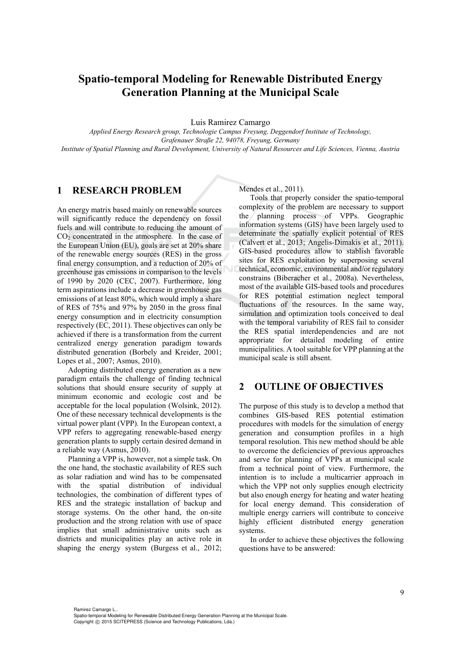# **Spatio-temporal Modeling for Renewable Distributed Energy Generation Planning at the Municipal Scale**

Luis Ramirez Camargo

*Applied Energy Research group, Technologie Campus Freyung, Deggendorf Institute of Technology, Grafenauer Straße 22, 94078, Freyung, Germany Institute of Spatial Planning and Rural Development, University of Natural Resources and Life Sciences, Vienna, Austria* 

## **1 RESEARCH PROBLEM**

An energy matrix based mainly on renewable sources will significantly reduce the dependency on fossil fuels and will contribute to reducing the amount of  $CO<sub>2</sub>$  concentrated in the atmosphere. In the case of the European Union (EU), goals are set at 20% share of the renewable energy sources (RES) in the gross final energy consumption, and a reduction of 20% of greenhouse gas emissions in comparison to the levels of 1990 by 2020 (CEC, 2007). Furthermore, long term aspirations include a decrease in greenhouse gas emissions of at least 80%, which would imply a share of RES of 75% and 97% by 2050 in the gross final energy consumption and in electricity consumption respectively (EC, 2011). These objectives can only be achieved if there is a transformation from the current centralized energy generation paradigm towards distributed generation (Borbely and Kreider, 2001; Lopes et al., 2007; Asmus, 2010).

Adopting distributed energy generation as a new paradigm entails the challenge of finding technical solutions that should ensure security of supply at minimum economic and ecologic cost and be acceptable for the local population (Wolsink, 2012). One of these necessary technical developments is the virtual power plant (VPP). In the European context, a VPP refers to aggregating renewable-based energy generation plants to supply certain desired demand in a reliable way (Asmus, 2010).

Planning a VPP is, however, not a simple task. On the one hand, the stochastic availability of RES such as solar radiation and wind has to be compensated with the spatial distribution of individual technologies, the combination of different types of RES and the strategic installation of backup and storage systems. On the other hand, the on-site production and the strong relation with use of space implies that small administrative units such as districts and municipalities play an active role in shaping the energy system (Burgess et al., 2012; Mendes et al., 2011).

Tools that properly consider the spatio-temporal complexity of the problem are necessary to support the planning process of VPPs. Geographic information systems (GIS) have been largely used to determinate the spatially explicit potential of RES (Calvert et al., 2013; Angelis-Dimakis et al., 2011). GIS-based procedures allow to stablish favorable sites for RES exploitation by superposing several technical, economic, environmental and/or regulatory constrains (Biberacher et al., 2008a). Nevertheless, most of the available GIS-based tools and procedures for RES potential estimation neglect temporal fluctuations of the resources. In the same way, simulation and optimization tools conceived to deal with the temporal variability of RES fail to consider the RES spatial interdependencies and are not appropriate for detailed modeling of entire municipalities. A tool suitable for VPP planning at the municipal scale is still absent.

#### **2 OUTLINE OF OBJECTIVES**

The purpose of this study is to develop a method that combines GIS-based RES potential estimation procedures with models for the simulation of energy generation and consumption profiles in a high temporal resolution. This new method should be able to overcome the deficiencies of previous approaches and serve for planning of VPPs at municipal scale from a technical point of view. Furthermore, the intention is to include a multicarrier approach in which the VPP not only supplies enough electricity but also enough energy for heating and water heating for local energy demand. This consideration of multiple energy carriers will contribute to conceive highly efficient distributed energy generation systems.

In order to achieve these objectives the following questions have to be answered: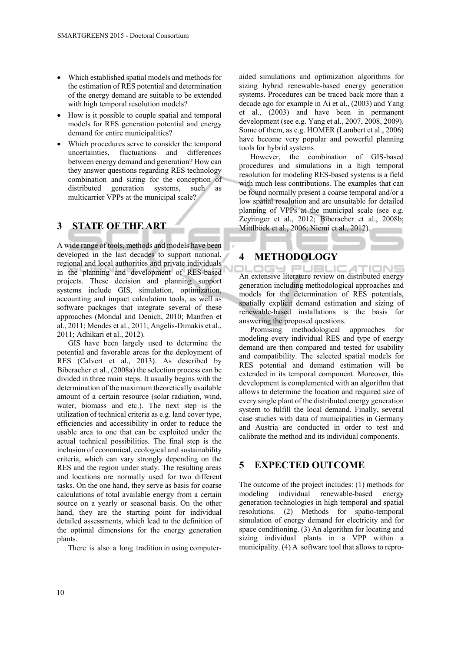- Which established spatial models and methods for the estimation of RES potential and determination of the energy demand are suitable to be extended with high temporal resolution models?
- How is it possible to couple spatial and temporal models for RES generation potential and energy demand for entire municipalities?
- Which procedures serve to consider the temporal uncertainties, fluctuations and differences between energy demand and generation? How can they answer questions regarding RES technology combination and sizing for the conception of distributed generation systems, such as multicarrier VPPs at the municipal scale?

## **3 STATE OF THE ART**

A wide range of tools, methods and models have been developed in the last decades to support national, regional and local authorities and private individuals in the planning and development of RES-based projects. These decision and planning support systems include GIS, simulation, optimization, accounting and impact calculation tools, as well as software packages that integrate several of these approaches (Mondal and Denich, 2010; Manfren et al., 2011; Mendes et al., 2011; Angelis-Dimakis et al., 2011; Adhikari et al., 2012).

GIS have been largely used to determine the potential and favorable areas for the deployment of RES (Calvert et al., 2013). As described by Biberacher et al., (2008a) the selection process can be divided in three main steps. It usually begins with the determination of the maximum theoretically available amount of a certain resource (solar radiation, wind, water, biomass and etc.). The next step is the utilization of technical criteria as e.g. land cover type, efficiencies and accessibility in order to reduce the usable area to one that can be exploited under the actual technical possibilities. The final step is the inclusion of economical, ecological and sustainability criteria, which can vary strongly depending on the RES and the region under study. The resulting areas and locations are normally used for two different tasks. On the one hand, they serve as basis for coarse calculations of total available energy from a certain source on a yearly or seasonal basis. On the other hand, they are the starting point for individual detailed assessments, which lead to the definition of the optimal dimensions for the energy generation plants.

There is also a long tradition in using computer-

aided simulations and optimization algorithms for sizing hybrid renewable-based energy generation systems. Procedures can be traced back more than a decade ago for example in Ai et al., (2003) and Yang et al., (2003) and have been in permanent development (see e.g. Yang et al., 2007, 2008, 2009). Some of them, as e.g. HOMER (Lambert et al., 2006) have become very popular and powerful planning tools for hybrid systems

However, the combination of GIS-based procedures and simulations in a high temporal resolution for modeling RES-based systems is a field with much less contributions. The examples that can be found normally present a coarse temporal and/or a low spatial resolution and are unsuitable for detailed planning of VPPs at the municipal scale (see e.g. Zeyringer et al., 2012; Biberacher et al., 2008b; Mittlböck et al., 2006; Niemi et al., 2012).

#### **4 METHODOLOGY**

An extensive literature review on distributed energy generation including methodological approaches and models for the determination of RES potentials, spatially explicit demand estimation and sizing of renewable-based installations is the basis for answering the proposed questions.

Promising methodological approaches for modeling every individual RES and type of energy demand are then compared and tested for usability and compatibility. The selected spatial models for RES potential and demand estimation will be extended in its temporal component. Moreover, this development is complemented with an algorithm that allows to determine the location and required size of every single plant of the distributed energy generation system to fulfill the local demand. Finally, several case studies with data of municipalities in Germany and Austria are conducted in order to test and calibrate the method and its individual components.

#### **5 EXPECTED OUTCOME**

The outcome of the project includes: (1) methods for modeling individual renewable-based energy generation technologies in high temporal and spatial resolutions. (2) Methods for spatio-temporal simulation of energy demand for electricity and for space conditioning. (3) An algorithm for locating and sizing individual plants in a VPP within a municipality. (4) A software tool that allows to repro-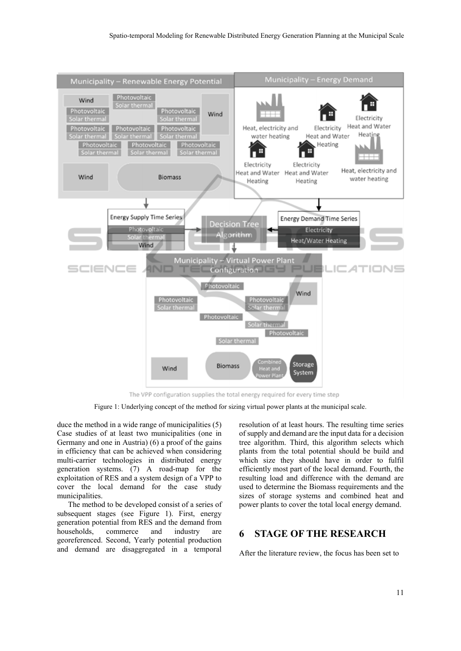

Figure 1: Underlying concept of the method for sizing virtual power plants at the municipal scale.

duce the method in a wide range of municipalities (5) Case studies of at least two municipalities (one in Germany and one in Austria) (6) a proof of the gains in efficiency that can be achieved when considering multi-carrier technologies in distributed energy generation systems. (7) A road-map for the exploitation of RES and a system design of a VPP to cover the local demand for the case study municipalities.

The method to be developed consist of a series of subsequent stages (see Figure 1). First, energy generation potential from RES and the demand from households, commerce and industry are georeferenced. Second, Yearly potential production and demand are disaggregated in a temporal

resolution of at least hours. The resulting time series of supply and demand are the input data for a decision tree algorithm. Third, this algorithm selects which plants from the total potential should be build and which size they should have in order to fulfil efficiently most part of the local demand. Fourth, the resulting load and difference with the demand are used to determine the Biomass requirements and the sizes of storage systems and combined heat and power plants to cover the total local energy demand.

### **6 STAGE OF THE RESEARCH**

After the literature review, the focus has been set to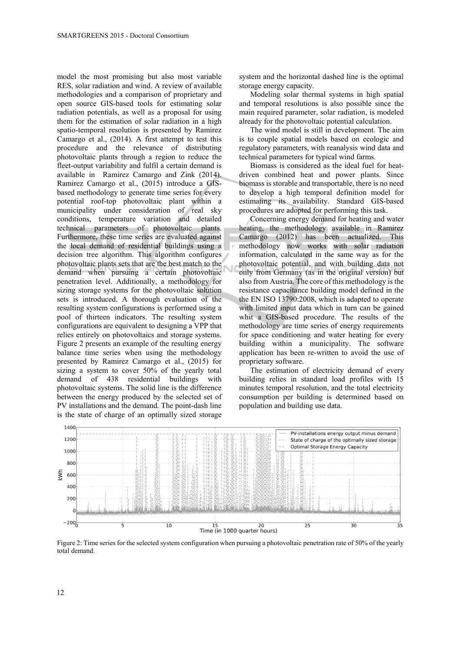model the most promising but also most variable RES, solar radiation and wind. A review of available methodologies and a comparison of proprietary and open source GIS-based tools for estimating solar radiation potentials, as well as a proposal for using them for the estimation of solar radiation in a high spatio-temporal resolution is presented by Ramirez Camargo et al., (2014). A first attempt to test this procedure and the relevance of distributing photovoltaic plants through a region to reduce the fleet-output variability and fulfil a certain demand is available in Ramirez Camargo and Zink (2014). Ramirez Camargo et al., (2015) introduce a GISbased methodology to generate time series for every potential roof-top photovoltaic plant within a municipality under consideration of real sky conditions, temperature variation and detailed technical parameters of photovoltaic plants. Furthermore, these time series are evaluated against the local demand of residential buildings using a decision tree algorithm. This algorithm configures photovoltaic plants sets that are the best match to the demand when pursuing a certain photovoltaic penetration level. Additionally, a methodology for sizing storage systems for the photovoltaic solution sets is introduced. A thorough evaluation of the resulting system configurations is performed using a pool of thirteen indicators. The resulting system configurations are equivalent to designing a VPP that relies entirely on photovoltaics and storage systems. Figure 2 presents an example of the resulting energy balance time series when using the methodology presented by Ramirez Camargo et al., (2015) for sizing a system to cover 50% of the yearly total demand of 438 residential buildings with photovoltaic systems. The solid line is the difference between the energy produced by the selected set of PV installations and the demand. The point-dash line is the state of charge of an optimally sized storage system and the horizontal dashed line is the optimal storage energy capacity.

Modeling solar thermal systems in high spatial and temporal resolutions is also possible since the main required parameter, solar radiation, is modeled already for the photovoltaic potential calculation.

The wind model is still in development. The aim is to couple spatial models based on ecologic and regulatory parameters, with reanalysis wind data and technical parameters for typical wind farms.

Biomass is considered as the ideal fuel for heatdriven combined heat and power plants. Since biomass is storable and transportable, there is no need to develop a high temporal definition model for estimating its availability. Standard GIS-based procedures are adopted for performing this task.

Concerning energy demand for heating and water heating, the methodology available in Ramirez Camargo (2012) has been actualized. This methodology now works with solar radiation information, calculated in the same way as for the photovoltaic potential, and with building data not only from Germany (as in the original version) but also from Austria. The core of this methodology is the resistance capacitance building model defined in the the EN ISO 13790:2008, which is adapted to operate with limited input data which in turn can be gained whit a GIS-based procedure. The results of the methodology are time series of energy requirements for space conditioning and water heating for every building within a municipality. The software application has been re-written to avoid the use of proprietary software.

The estimation of electricity demand of every building relies in standard load profiles with 15 minutes temporal resolution, and the total electricity consumption per building is determined based on population and building use data.



Figure 2: Time series for the selected system configuration when pursuing a photovoltaic penetration rate of 50% of the yearly total demand.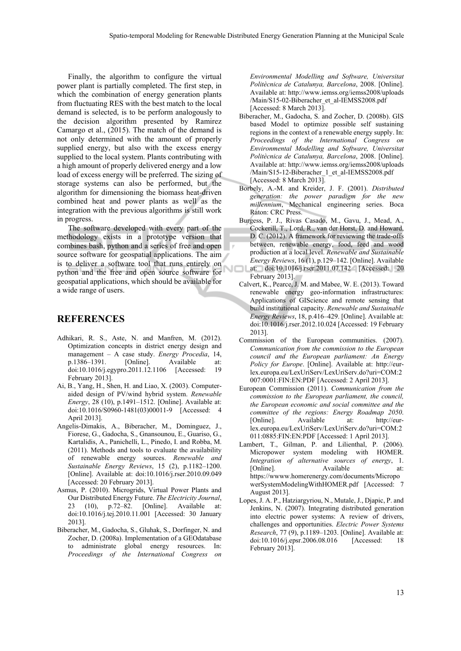Finally, the algorithm to configure the virtual power plant is partially completed. The first step, in which the combination of energy generation plants from fluctuating RES with the best match to the local demand is selected, is to be perform analogously to the decision algorithm presented by Ramirez Camargo et al., (2015). The match of the demand is not only determined with the amount of properly supplied energy, but also with the excess energy supplied to the local system. Plants contributing with a high amount of properly delivered energy and a low load of excess energy will be preferred. The sizing of storage systems can also be performed, but the algorithm for dimensioning the biomass heat-driven combined heat and power plants as well as the integration with the previous algorithms is still work in progress.

The software developed with every part of the methodology exists in a prototype version that combines bash, python and a series of free and open source software for geospatial applications. The aim is to deliver a software tool that runs entirely on python and the free and open source software for geospatial applications, which should be available for a wide range of users.

#### **REFERENCES**

- Adhikari, R. S., Aste, N. and Manfren, M. (2012). Optimization concepts in district energy design and management – A case study. *Energy Procedia*, 14, p.1386–1391. [Online]. Available at: doi:10.1016/j.egypro.2011.12.1106 [Accessed: 19 February 2013].
- Ai, B., Yang, H., Shen, H. and Liao, X. (2003). Computeraided design of PV/wind hybrid system. *Renewable Energy*, 28 (10), p.1491–1512. [Online]. Available at: doi:10.1016/S0960-1481(03)00011-9 [Accessed: 4 April 2013].
- Angelis-Dimakis, A., Biberacher, M., Dominguez, J., Fiorese, G., Gadocha, S., Gnansounou, E., Guariso, G., Kartalidis, A., Panichelli, L., Pinedo, I. and Robba, M. (2011). Methods and tools to evaluate the availability of renewable energy sources. *Renewable and Sustainable Energy Reviews*, 15 (2), p.1182–1200. [Online]. Available at: doi:10.1016/j.rser.2010.09.049 [Accessed: 20 February 2013].
- Asmus, P. (2010). Microgrids, Virtual Power Plants and Our Distributed Energy Future. *The Electricity Journal*, 23 (10), p.72–82. [Online]. Available at: doi:10.1016/j.tej.2010.11.001 [Accessed: 30 January 2013].
- Biberacher, M., Gadocha, S., Gluhak, S., Dorfinger, N. and Zocher, D. (2008a). Implementation of a GEOdatabase to administrate global energy resources. In: *Proceedings of the International Congress on*

*Environmental Modelling and Software, Universitat Politècnica de Catalunya, Barcelona*, 2008. [Online]. Available at: http://www.iemss.org/iemss2008/uploads /Main/S15-02-Biberacher\_et\_al-IEMSS2008.pdf [Accessed: 8 March 2013].

- Biberacher, M., Gadocha, S. and Zocher, D. (2008b). GIS based Model to optimize possible self sustaining regions in the context of a renewable energy supply. In: *Proceedings of the International Congress on Environmental Modelling and Software, Universitat Politècnica de Catalunya, Barcelona*, 2008. [Online]. Available at: http://www.iemss.org/iemss2008/uploads /Main/S15-12-Biberacher\_1\_et\_al-IEMSS2008.pdf [Accessed: 8 March 2013].
- Borbely, A.-M. and Kreider, J. F. (2001). *Distributed generation: the power paradigm for the new millennium*, Mechanical engineering series. Boca Raton: CRC Press.
- Burgess, P. J., Rivas Casado, M., Gavu, J., Mead, A., Cockerill, T., Lord, R., van der Horst, D. and Howard, D. C. (2012). A framework for reviewing the trade-offs between, renewable energy, food, feed and wood production at a local level. *Renewable and Sustainable Energy Reviews*, 16 (1), p.129–142. [Online]. Available at: doi:10.1016/j.rser.2011.07.142 [Accessed: 20 February 2013].
- Calvert, K., Pearce, J. M. and Mabee, W. E. (2013). Toward renewable energy geo-information infrastructures: Applications of GIScience and remote sensing that build institutional capacity. *Renewable and Sustainable Energy Reviews*, 18, p.416–429. [Online]. Available at: doi:10.1016/j.rser.2012.10.024 [Accessed: 19 February 2013].
- Commission of the European communities. (2007). *Communication from the commission to the European council and the European parliament: An Energy Policy for Europe*. [Online]. Available at: http://eurlex.europa.eu/LexUriServ/LexUriServ.do?uri=COM:2 007:0001:FIN:EN:PDF [Accessed: 2 April 2013].
- European Commission (2011). *Communication from the commission to the European parliament, the council, the European economic and social committee and the committee of the regions: Energy Roadmap 2050*. [Online]. Available at: http://eurlex.europa.eu/LexUriServ/LexUriServ.do?uri=COM:2 011:0885:FIN:EN:PDF [Accessed: 1 April 2013].
- Lambert, T., Gilman, P. and Lilienthal, P. (2006). Micropower system modeling with HOMER. *Integration of alternative sources of energy*, 1. [Online]. Available at: https://wwww.homerenergy.com/documents/Micropo werSystemModelingWithHOMER.pdf [Accessed: 7 August 2013].
- Lopes, J. A. P., Hatziargyriou, N., Mutale, J., Djapic, P. and Jenkins, N. (2007). Integrating distributed generation into electric power systems: A review of drivers, challenges and opportunities. *Electric Power Systems Research*, 77 (9), p.1189–1203. [Online]. Available at: doi:10.1016/j.epsr.2006.08.016 [Accessed: 18 February 2013].